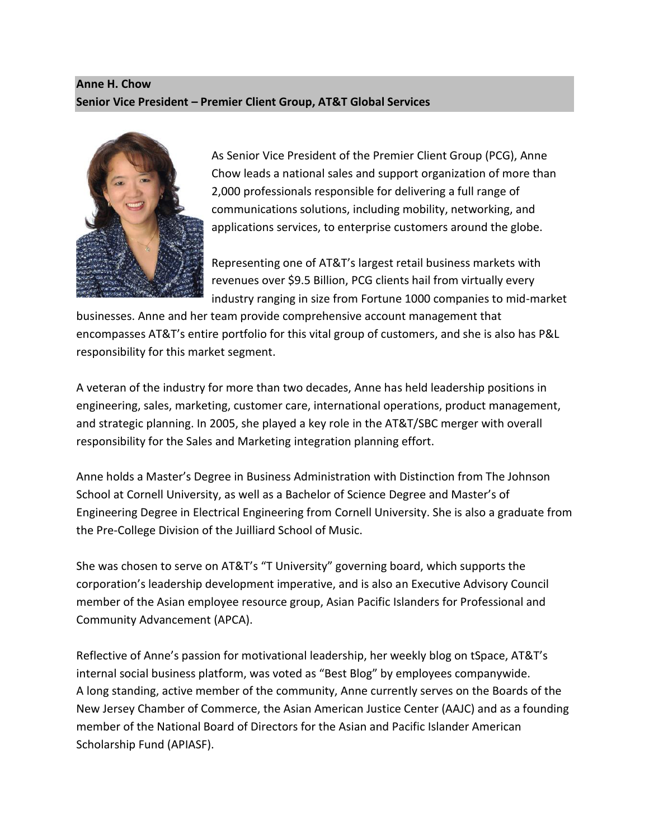## **Anne H. Chow Senior Vice President – Premier Client Group, AT&T Global Services**



As Senior Vice President of the Premier Client Group (PCG), Anne Chow leads a national sales and support organization of more than 2,000 professionals responsible for delivering a full range of communications solutions, including mobility, networking, and applications services, to enterprise customers around the globe.

Representing one of AT&T's largest retail business markets with revenues over \$9.5 Billion, PCG clients hail from virtually every industry ranging in size from Fortune 1000 companies to mid-market

businesses. Anne and her team provide comprehensive account management that encompasses AT&T's entire portfolio for this vital group of customers, and she is also has P&L responsibility for this market segment.

A veteran of the industry for more than two decades, Anne has held leadership positions in engineering, sales, marketing, customer care, international operations, product management, and strategic planning. In 2005, she played a key role in the AT&T/SBC merger with overall responsibility for the Sales and Marketing integration planning effort.

Anne holds a Master's Degree in Business Administration with Distinction from The Johnson School at Cornell University, as well as a Bachelor of Science Degree and Master's of Engineering Degree in Electrical Engineering from Cornell University. She is also a graduate from the Pre-College Division of the Juilliard School of Music.

She was chosen to serve on AT&T's "T University" governing board, which supports the corporation's leadership development imperative, and is also an Executive Advisory Council member of the Asian employee resource group, Asian Pacific Islanders for Professional and Community Advancement (APCA).

Reflective of Anne's passion for motivational leadership, her weekly blog on tSpace, AT&T's internal social business platform, was voted as "Best Blog" by employees companywide. A long standing, active member of the community, Anne currently serves on the Boards of the New Jersey Chamber of Commerce, the Asian American Justice Center (AAJC) and as a founding member of the National Board of Directors for the Asian and Pacific Islander American Scholarship Fund (APIASF).